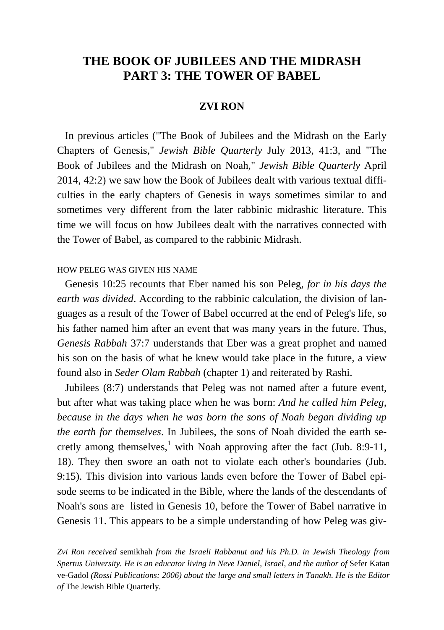# **THE BOOK OF JUBILEES AND THE MIDRASH PART 3: THE TOWER OF BABEL**

## **ZVI RON**

 In previous articles ("The Book of Jubilees and the Midrash on the Early Chapters of Genesis," *Jewish Bible Quarterly* July 2013, 41:3, and "The Book of Jubilees and the Midrash on Noah," *Jewish Bible Quarterly* April 2014, 42:2) we saw how the Book of Jubilees dealt with various textual difficulties in the early chapters of Genesis in ways sometimes similar to and sometimes very different from the later rabbinic midrashic literature. This time we will focus on how Jubilees dealt with the narratives connected with the Tower of Babel, as compared to the rabbinic Midrash.

#### HOW PELEG WAS GIVEN HIS NAME

 Genesis 10:25 recounts that Eber named his son Peleg, *for in his days the earth was divided*. According to the rabbinic calculation, the division of languages as a result of the Tower of Babel occurred at the end of Peleg's life, so his father named him after an event that was many years in the future. Thus, *Genesis Rabbah* 37:7 understands that Eber was a great prophet and named his son on the basis of what he knew would take place in the future, a view found also in *Seder Olam Rabbah* (chapter 1) and reiterated by Rashi.

 Jubilees (8:7) understands that Peleg was not named after a future event, but after what was taking place when he was born: *And he called him Peleg, because in the days when he was born the sons of Noah began dividing up the earth for themselves*. In Jubilees, the sons of Noah divided the earth secretly among themselves, $\frac{1}{1}$  with Noah approving after the fact (Jub. 8:9-11, 18). They then swore an oath not to violate each other's boundaries (Jub. 9:15). This division into various lands even before the Tower of Babel episode seems to be indicated in the Bible, where the lands of the descendants of Noah's sons are listed in Genesis 10, before the Tower of Babel narrative in Genesis 11. This appears to be a simple understanding of how Peleg was giv-

*Zvi Ron received* semikhah *from the Israeli Rabbanut and his Ph.D. in Jewish Theology from Spertus University. He is an educator living in Neve Daniel, Israel, and the author of* Sefer Katan ve-Gadol *(Rossi Publications: 2006) about the large and small letters in Tanakh. He is the Editor of* The Jewish Bible Quarterly*.*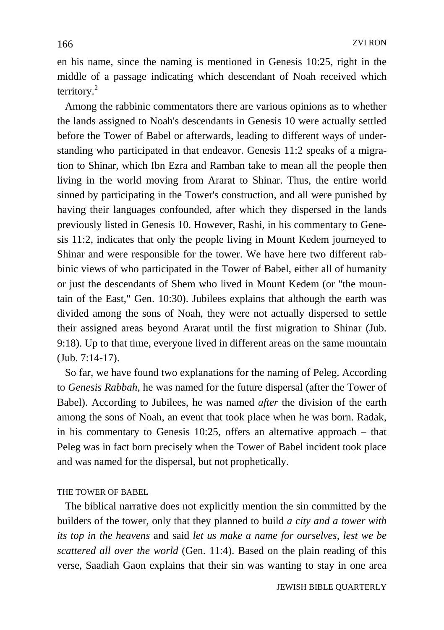en his name, since the naming is mentioned in Genesis 10:25, right in the middle of a passage indicating which descendant of Noah received which territory.<sup>2</sup>

 Among the rabbinic commentators there are various opinions as to whether the lands assigned to Noah's descendants in Genesis 10 were actually settled before the Tower of Babel or afterwards, leading to different ways of understanding who participated in that endeavor. Genesis 11:2 speaks of a migration to Shinar, which Ibn Ezra and Ramban take to mean all the people then living in the world moving from Ararat to Shinar. Thus, the entire world sinned by participating in the Tower's construction, and all were punished by having their languages confounded, after which they dispersed in the lands previously listed in Genesis 10. However, Rashi, in his commentary to Genesis 11:2, indicates that only the people living in Mount Kedem journeyed to Shinar and were responsible for the tower. We have here two different rabbinic views of who participated in the Tower of Babel, either all of humanity or just the descendants of Shem who lived in Mount Kedem (or "the mountain of the East," Gen. 10:30). Jubilees explains that although the earth was divided among the sons of Noah, they were not actually dispersed to settle their assigned areas beyond Ararat until the first migration to Shinar (Jub. 9:18). Up to that time, everyone lived in different areas on the same mountain (Jub. 7:14-17).

 So far, we have found two explanations for the naming of Peleg. According to *Genesis Rabbah*, he was named for the future dispersal (after the Tower of Babel). According to Jubilees, he was named *after* the division of the earth among the sons of Noah, an event that took place when he was born. Radak, in his commentary to Genesis 10:25, offers an alternative approach – that Peleg was in fact born precisely when the Tower of Babel incident took place and was named for the dispersal, but not prophetically.

#### THE TOWER OF BABEL

 The biblical narrative does not explicitly mention the sin committed by the builders of the tower, only that they planned to build *a city and a tower with its top in the heavens* and said *let us make a name for ourselves, lest we be scattered all over the world* (Gen. 11:4). Based on the plain reading of this verse, Saadiah Gaon explains that their sin was wanting to stay in one area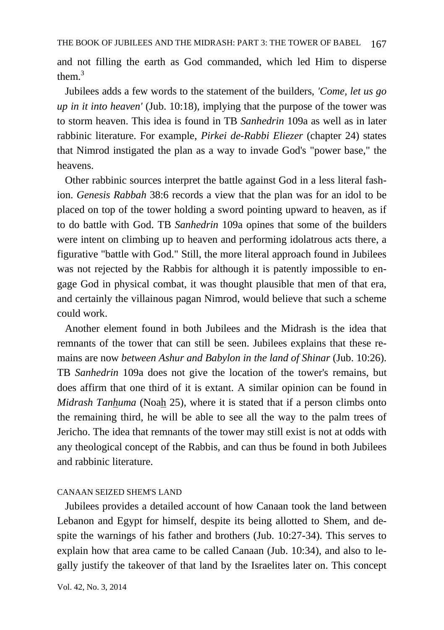and not filling the earth as God commanded, which led Him to disperse them $3$ 

 Jubilees adds a few words to the statement of the builders, *'Come, let us go up in it into heaven'* (Jub. 10:18), implying that the purpose of the tower was to storm heaven. This idea is found in TB *Sanhedrin* 109a as well as in later rabbinic literature. For example, *Pirkei de-Rabbi Eliezer* (chapter 24) states that Nimrod instigated the plan as a way to invade God's "power base," the heavens.

 Other rabbinic sources interpret the battle against God in a less literal fashion. *Genesis Rabbah* 38:6 records a view that the plan was for an idol to be placed on top of the tower holding a sword pointing upward to heaven, as if to do battle with God. TB *Sanhedrin* 109a opines that some of the builders were intent on climbing up to heaven and performing idolatrous acts there, a figurative "battle with God." Still, the more literal approach found in Jubilees was not rejected by the Rabbis for although it is patently impossible to engage God in physical combat, it was thought plausible that men of that era, and certainly the villainous pagan Nimrod, would believe that such a scheme could work.

 Another element found in both Jubilees and the Midrash is the idea that remnants of the tower that can still be seen. Jubilees explains that these remains are now *between Ashur and Babylon in the land of Shinar* (Jub. 10:26). TB *Sanhedrin* 109a does not give the location of the tower's remains, but does affirm that one third of it is extant. A similar opinion can be found in *Midrash Tanhuma* (Noah 25), where it is stated that if a person climbs onto the remaining third, he will be able to see all the way to the palm trees of Jericho. The idea that remnants of the tower may still exist is not at odds with any theological concept of the Rabbis, and can thus be found in both Jubilees and rabbinic literature.

### CANAAN SEIZED SHEM'S LAND

 Jubilees provides a detailed account of how Canaan took the land between Lebanon and Egypt for himself, despite its being allotted to Shem, and despite the warnings of his father and brothers (Jub. 10:27-34). This serves to explain how that area came to be called Canaan (Jub. 10:34), and also to legally justify the takeover of that land by the Israelites later on. This concept